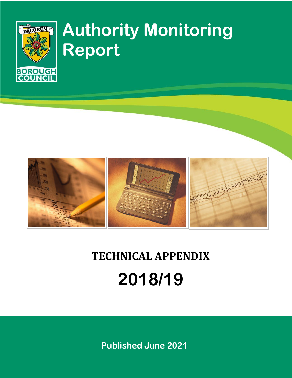

# **Authority Monitoring Report**



# **TECHNICAL APPENDIX 2018/19**

**Published June 2021**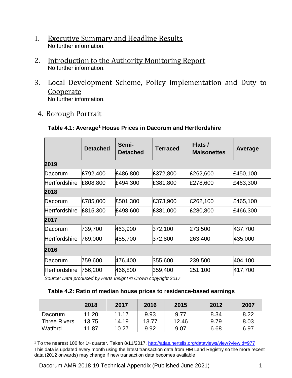- 1. Executive Summary and Headline Results No further information.
- 2. Introduction to the Authority Monitoring Report No further information.
- 3. Local Development Scheme, Policy Implementation and Duty to Cooperate

No further information.

4. Borough Portrait

 $\overline{a}$ 

| Table 4.1: Average <sup>1</sup> House Prices in Dacorum and Hertfordshire |
|---------------------------------------------------------------------------|
|---------------------------------------------------------------------------|

|                      | <b>Detached</b> | Semi-<br><b>Detached</b> | <b>Terraced</b> | Flats /<br><b>Maisonettes</b> | Average  |
|----------------------|-----------------|--------------------------|-----------------|-------------------------------|----------|
| 2019                 |                 |                          |                 |                               |          |
| Dacorum              | £792,400        | £486,800                 | £372,800        | £262,600                      | £450,100 |
| Hertfordshire        | £808,800        | £494,300                 | £381,800        | £278,600                      | £463,300 |
| 2018                 |                 |                          |                 |                               |          |
| Dacorum              | £785,000        | £501,300                 | £373,900        | £262,100                      | £465,100 |
| <b>Hertfordshire</b> | £815,300        | £498,600                 | £381,000        | £280,800                      | £466,300 |
| 2017                 |                 |                          |                 |                               |          |
| Dacorum              | 739,700         | 463,900                  | 372,100         | 273,500                       | 437,700  |
| Hertfordshire        | 769,000         | 485,700                  | 372,800         | 263,400                       | 435,000  |
| 2016                 |                 |                          |                 |                               |          |
| Dacorum              | 759,600         | 476,400                  | 355,600         | 239,500                       | 404,100  |
| Hertfordshire        | 756,200         | 466,800                  | 359,400         | 251,100                       | 417,700  |

*Source: Data produced by Herts Insight © Crown copyright 2017*

## **Table 4.2: Ratio of median house prices to residence-based earnings**

|                     | 2018  | 2017  | 2016  | 2015  | 2012 | 2007 |
|---------------------|-------|-------|-------|-------|------|------|
| Dacorum             | 11.20 | 11.17 | 9.93  | 9.77  | 8.34 | 8.22 |
| <b>Three Rivers</b> | 13.75 | 14.19 | 13.77 | 12.46 | 9.79 | 8.03 |
| Watford             | 11.87 | 10.27 | 9.92  | 9.07  | 6.68 | 6.97 |

<sup>1</sup> To the nearest 100 for 1<sup>st</sup> quarter. Taken 8/11/2017.<http://atlas.hertslis.org/dataviews/view?viewId=977> This data is updated every month using the latest transaction data from HM Land Registry so the more recent data (2012 onwards) may change if new transaction data becomes available

Dacorum AMR 2018-19 Technical Appendix (Published June 2021) 1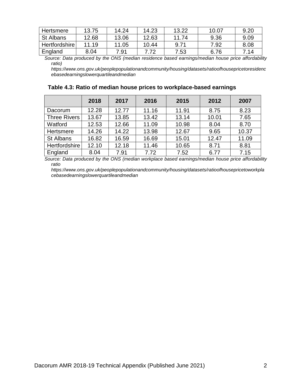| Hertsmere        | 13.75 | 14.24 | 14.23 | 13.22 | 10.07 | 9.20 |
|------------------|-------|-------|-------|-------|-------|------|
| <b>St Albans</b> | 12.68 | 13.06 | 12.63 | 11.74 | 9.36  | 9.09 |
| Hertfordshire    | 11.19 | 11.05 | 10.44 | 9.71  | 7.92  | 8.08 |
| England          | 8.04  | 7.91  |       | 7.53  | 6.76  | 7.14 |

*Source: Data produced by the ONS (median residence based earnings/median house price affordability ratio)* 

*https://www.ons.gov.uk/peoplepopulationandcommunity/housing/datasets/ratioofhousepricetoresidenc ebasedearningslowerquartileandmedian*

| Table 4.3: Ratio of median house prices to workplace-based earnings |
|---------------------------------------------------------------------|
|---------------------------------------------------------------------|

|                     | 2018  | 2017  | 2016  | 2015  | 2012  | 2007  |
|---------------------|-------|-------|-------|-------|-------|-------|
| Dacorum             | 12.28 | 12.77 | 11.16 | 11.91 | 8.75  | 8.23  |
| <b>Three Rivers</b> | 13.67 | 13.85 | 13.42 | 13.14 | 10.01 | 7.65  |
| Watford             | 12.53 | 12.66 | 11.09 | 10.98 | 8.04  | 8.70  |
| Hertsmere           | 14.26 | 14.22 | 13.98 | 12.67 | 9.65  | 10.37 |
| St Albans           | 16.82 | 16.59 | 16.69 | 15.01 | 12.47 | 11.09 |
| Hertfordshire       | 12.10 | 12.18 | 11.46 | 10.65 | 8.71  | 8.81  |
| England             | 8.04  | 7.91  | 7.72  | 7.52  | 6.77  | 7.15  |

*Source: Data produced by the ONS (median workplace based earnings/median house price affordability ratio*

*https://www.ons.gov.uk/peoplepopulationandcommunity/housing/datasets/ratioofhousepricetoworkpla cebasedearningslowerquartileandmedian*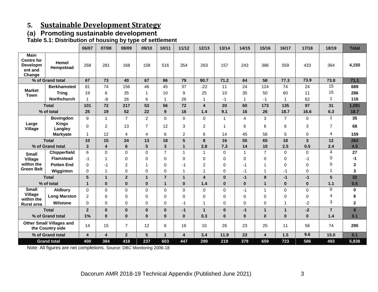# **5. Sustainable Development Strategy**

# **(a) Promoting sustainable development**

**Table 5.1: Distribution of housing by type of settlement**

|                                                                   |                                                     | 06/07                   | 07/08        | 08/09          | 09/10          | 10/11          | 11/12                   | 12/13          | 13/14        | 14/15          | 15/16          | 16/17          | 17/18       | 18/19           | <b>Total</b> |
|-------------------------------------------------------------------|-----------------------------------------------------|-------------------------|--------------|----------------|----------------|----------------|-------------------------|----------------|--------------|----------------|----------------|----------------|-------------|-----------------|--------------|
| <b>Main</b><br><b>Centre for</b><br>Developm<br>ent and<br>Change | Hemel<br>Hempstead                                  | 268                     | 281          | 168            | 158            | 516            | 354                     | 263            | 157          | 243            | 386            | 559            | 433         | 364             | 4,150        |
|                                                                   | % of Grand total                                    | 67                      | 73           | 40             | 67             | 86             | 79                      | 90.7           | 71.2         | 64             | 58             | 77.3           | 73.9        | 73.8            | 71.1         |
|                                                                   | <b>Berkhamsted</b>                                  | 81                      | 74           | 156            | 46             | 45             | 37                      | $-22$          | 11           | 24             | 124            | 74             | 24          | $\overline{15}$ | 689          |
| <b>Market</b><br><b>Town</b>                                      | <b>Tring</b>                                        | 19                      | 6            | 35             | 1              | 10             | 9                       | 25             | 10           | 35             | 50             | 60             | 11          | 15              | 286          |
|                                                                   | <b>Northchurch</b>                                  | 1                       | -8           | 26             | 6              | 1              | 26                      | 1              | $-1$         | $\mathbf{1}$   | $-1$           | 1              | 62          | $\mathbf{1}$    | 116          |
|                                                                   | <b>Total</b>                                        | 101                     | 72           | 217            | 53             | 56             | 72                      | 4              | 20           | 60             | 173            | 135            | 97          | 31              | 1,091        |
|                                                                   | % of total                                          | 25                      | 19           | 52             | 22             | 9              | 16                      | 1.4            | 9.1          | 16             | 26             | 18.7           | 16.6        | 6.3             | 18.7         |
|                                                                   | <b>Bovingdon</b>                                    | 9                       | $\mathbf{1}$ | $\overline{7}$ | $\overline{2}$ | $\Omega$       | $\Omega$                | $\Omega$       | $\mathbf{1}$ | $\overline{4}$ | 3              | $\overline{7}$ | $\mathbf 0$ | $\mathbf{1}$    | 35           |
| Large<br><b>Village</b>                                           | <b>Kings</b><br>Langley                             | 0                       | 2            | 13             | $\overline{7}$ | 12             | 3                       | $\overline{c}$ | 1            | 6              | 6              | 6              | 3           | $\overline{7}$  | 68           |
|                                                                   | <b>Markyate</b>                                     | 1                       | 12           | 4              | 4              | 6              | $\overline{c}$          | 6              | 14           | 45             | 56             | 5              | 0           | $\overline{4}$  | 159          |
|                                                                   | <b>Total</b>                                        | 10                      | 15           | 24             | 13             | 18             | 5                       | 8              | 16           | 55             | 65             | 18             | 3           | 12              | 262          |
|                                                                   | % of Grand total                                    | 3                       | 4            | 6              | 5              | 3              | $\mathbf{1}$            | 2.8            | 7.3          | 14             | 10             | 2.5            | 0.5         | 2.4             | 4.5          |
| <b>Small</b>                                                      | Chipperfield                                        | 6                       | 0            | $\mathbf 0$    | $\mathbf 0$    | $\overline{7}$ | 1                       | 1              | 0            | $\mathbf{1}$   | $\overline{7}$ | $\mathbf 0$    | 0           | $\overline{4}$  | 27           |
| Village                                                           | <b>Flamstead</b>                                    | -1                      | 1            | 0              | $\Omega$       | 0              | 0                       | 0              | 0            | 0              | 0              | 0              | -1          | 0               | -1           |
| within the                                                        | <b>Potten End</b>                                   | 0                       | -1           | 2              | 1              | $\Omega$       | $-1$                    | 2              | 0            | -1             | 1              | $\Omega$       | $\Omega$    | 0               | 3            |
| <b>Green Belt</b>                                                 | Wigginton                                           | $\Omega$                | 1            | 0              | $\Omega$       | $\Omega$       | 1                       |                | 0            | -1             | 1              | $-1$           | $\mathbf 0$ | $\mathbf 1$     | 3            |
|                                                                   | <b>Total</b>                                        | 5                       | $\mathbf{1}$ | $\mathbf{2}$   | 1              | $\overline{7}$ | $\mathbf{1}$            | 4              | $\bf{0}$     | $-1$           | 9              | $-1$           | $-1$        | $5\phantom{.0}$ | 32           |
|                                                                   | % of total                                          | $\mathbf{1}$            | $\mathbf{0}$ | $\bf{0}$       | $\bf{0}$       | 1              | $\bf{0}$                | 1.4            | $\pmb{0}$    | $\bf{0}$       | 1              | $\bf{0}$       | $\bf{0}$    | 1.1             | 0.5          |
| <b>Small</b>                                                      | <b>Aldbury</b>                                      | $\mathbf 0$             | $\Omega$     | $\mathbf 0$    | $\mathbf 0$    | $\mathbf 0$    | $\mathbf 0$             | 0              | 0            | $-1$           | 1              | $\mathbf 0$    | $\mathbf 0$ | $\mathbf 0$     | 0            |
| Village<br>within the                                             | <b>Long Marston</b>                                 | $\overline{2}$          | $\Omega$     | 0              | $\Omega$       | $\Omega$       | $\Omega$                | 0              | 0            | 0              | 0              | 0              | 0           | $\overline{4}$  | 6            |
| <b>Rural area</b>                                                 | <b>Wilstone</b>                                     | $\Omega$                | $\Omega$     | $\Omega$       | $\Omega$       | $\Omega$       | $-1$                    |                | 0            | $\Omega$       | 0              | $\mathbf{1}$   | $-2$        | 3               | $\mathbf{2}$ |
|                                                                   | <b>Total</b>                                        | $\overline{2}$          | $\bf{0}$     | $\bf{0}$       | $\bf{0}$       | $\bf{0}$       | $-1$                    | 1              | $\bf{0}$     | $-1$           | 1              | $\mathbf{1}$   | $-2$        | $\overline{7}$  | 8            |
|                                                                   | % of Grand total                                    | 1%                      | $\bf{0}$     | $\bf{0}$       | $\bf{0}$       | $\bf{0}$       | $\bf{0}$                | 0.3            | $\bf{0}$     | $\bf{0}$       | 0              | $\bf{0}$       | $\bf{0}$    | 1.4             | 0.1          |
|                                                                   | <b>Other Small Villages and</b><br>the Country side | 14                      | 15           | $\overline{7}$ | 12             | 6              | 16                      | 10             | 26           | 23             | 25             | 11             | 56          | 74              | 295          |
|                                                                   | % of Grand total                                    | $\overline{\mathbf{4}}$ | 4            | $\overline{2}$ | 5              | $\mathbf{1}$   | $\overline{\mathbf{4}}$ | 3.4            | 11.9         | 23             | 4              | 1.5            | 9.6         | 15.0            | 5.1          |
|                                                                   | <b>Grand total</b>                                  | 400                     | 384          | 418            | 237            | 603            | 447                     | 290            | 219          | 379            | 659            | 723            | 586         | 493             | 5,838        |

Note: All figures are net completions. Source: DBC Monitoring 2006-18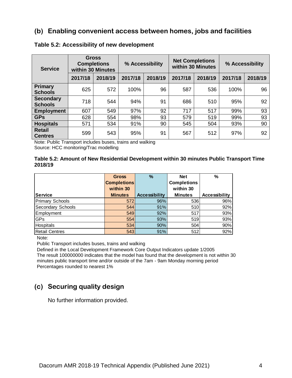## **(b) Enabling convenient access between homes, jobs and facilities**

| <b>Service</b>                     |         | <b>Gross</b><br><b>Completions</b><br>within 30 Minutes | % Accessibility |         |         | <b>Net Completions</b><br>within 30 Minutes | % Accessibility |         |  |
|------------------------------------|---------|---------------------------------------------------------|-----------------|---------|---------|---------------------------------------------|-----------------|---------|--|
|                                    | 2017/18 | 2018/19                                                 | 2017/18         | 2018/19 | 2017/18 | 2018/19                                     | 2017/18         | 2018/19 |  |
| Primary<br><b>Schools</b>          | 625     | 572                                                     | 100%            | 96      | 587     | 536                                         | 100%            | 96      |  |
| <b>Secondary</b><br><b>Schools</b> | 718     | 544                                                     | 94%             | 91      | 686     | 510                                         | 95%             | 92      |  |
| <b>Employment</b>                  | 607     | 549                                                     | 97%             | 92      | 717     | 517                                         | 99%             | 93      |  |
| <b>GPs</b>                         | 628     | 554                                                     | 98%             | 93      | 579     | 519                                         | 99%             | 93      |  |
| <b>Hospitals</b>                   | 571     | 534                                                     | 91%             | 90      | 545     | 504                                         | 93%             | 90      |  |
| <b>Retail</b><br><b>Centres</b>    | 599     | 543                                                     | 95%             | 91      | 567     | 512                                         | 97%             | 92      |  |

#### **Table 5.2: Accessibility of new development**

Note: Public Transport includes buses, trains and walking Source: HCC monitoring/Trac modelling

#### **Table 5.2: Amount of New Residential Development within 30 minutes Public Transport Time 2018/19**

|                        | <b>Gross</b>       | $\frac{9}{6}$        | <b>Net</b>         | $\%$                 |
|------------------------|--------------------|----------------------|--------------------|----------------------|
|                        | <b>Completions</b> |                      | <b>Completions</b> |                      |
|                        | within 30          |                      | within 30          |                      |
| <b>Service</b>         | <b>Minutes</b>     | <b>Accessibility</b> | <b>Minutes</b>     | <b>Accessibility</b> |
| <b>Primary Schools</b> | 572                | 96%                  | 536                | 96%                  |
| Secondary Schools      | 544                | 91%                  | 510                | 92%                  |
| Employment             | 549                | 92%                  | 517                | 93%                  |
| GPs                    | 554                | 93%                  | 519                | 93%                  |
| <b>Hospitals</b>       | 534                | 90%                  | 504                | 90%                  |
| <b>Retail Centres</b>  | 543                | 91%                  | 512                | 92%                  |

Note:

Public Transport includes buses, trains and walking

Defined in the Local Development Framework Core Output Indicators update 1/2005 The result 100000000 indicates that the model has found that the development is not within 30 minutes public transport time and/or outside of the 7am - 9am Monday morning period Percentages rounded to nearest 1%

## **(c) Securing quality design**

No further information provided.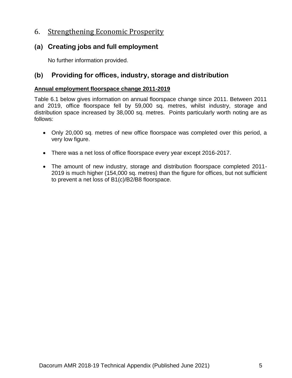# 6. Strengthening Economic Prosperity

## **(a) Creating jobs and full employment**

No further information provided.

# **(b) Providing for offices, industry, storage and distribution**

## **Annual employment floorspace change 2011-2019**

Table 6.1 below gives information on annual floorspace change since 2011. Between 2011 and 2019, office floorspace fell by 59,000 sq. metres, whilst industry, storage and distribution space increased by 38,000 sq. metres. Points particularly worth noting are as follows:

- Only 20,000 sq. metres of new office floorspace was completed over this period, a very low figure.
- There was a net loss of office floorspace every year except 2016-2017.
- The amount of new industry, storage and distribution floorspace completed 2011- 2019 is much higher (154,000 sq. metres) than the figure for offices, but not sufficient to prevent a net loss of B1(c)/B2/B8 floorspace.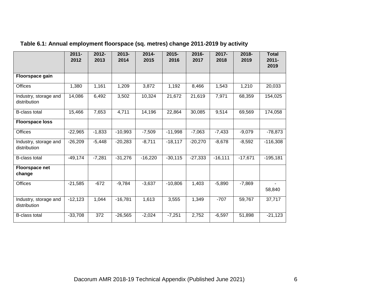|                                       | $2011 -$<br>2012 | $2012 -$<br>2013 | 2013-<br>2014 | $2014 -$<br>2015 | 2015-<br>2016 | 2016-<br>2017 | $2017 -$<br>2018 | $2018 -$<br>2019 | <b>Total</b><br>$2011 -$<br>2019 |
|---------------------------------------|------------------|------------------|---------------|------------------|---------------|---------------|------------------|------------------|----------------------------------|
| Floorspace gain                       |                  |                  |               |                  |               |               |                  |                  |                                  |
| <b>Offices</b>                        | 1,380            | 1,161            | 1,209         | 3,872            | 1,192         | 8,466         | 1,543            | 1,210            | 20,033                           |
| Industry, storage and<br>distribution | 14,086           | 6,492            | 3,502         | 10,324           | 21,672        | 21,619        | 7,971            | 68,359           | 154,025                          |
| <b>B-class total</b>                  | 15,466           | 7,653            | 4,711         | 14,196           | 22,864        | 30,085        | 9,514            | 69,569           | 174,058                          |
| <b>Floorspace loss</b>                |                  |                  |               |                  |               |               |                  |                  |                                  |
| Offices                               | $-22,965$        | $-1,833$         | $-10,993$     | $-7,509$         | $-11,998$     | $-7,063$      | $-7,433$         | $-9,079$         | $-78,873$                        |
| Industry, storage and<br>distribution | $-26,209$        | $-5,448$         | $-20,283$     | $-8,711$         | $-18,117$     | $-20,270$     | $-8,678$         | $-8,592$         | $-116,308$                       |
| <b>B-class total</b>                  | $-49,174$        | $-7,281$         | $-31,276$     | $-16,220$        | $-30,115$     | $-27,333$     | $-16,111$        | $-17,671$        | $-195,181$                       |
| <b>Floorspace net</b><br>change       |                  |                  |               |                  |               |               |                  |                  |                                  |
| <b>Offices</b>                        | $-21,585$        | $-672$           | $-9,784$      | $-3,637$         | $-10,806$     | 1,403         | $-5,890$         | $-7,869$         | 58,840                           |
| Industry, storage and<br>distribution | $-12,123$        | 1,044            | $-16,781$     | 1,613            | 3,555         | 1,349         | $-707$           | 59,767           | 37,717                           |
| <b>B-class total</b>                  | $-33,708$        | 372              | $-26,565$     | $-2,024$         | $-7,251$      | 2,752         | $-6,597$         | 51,898           | $-21,123$                        |

# **Table 6.1: Annual employment floorspace (sq. metres) change 2011-2019 by activity**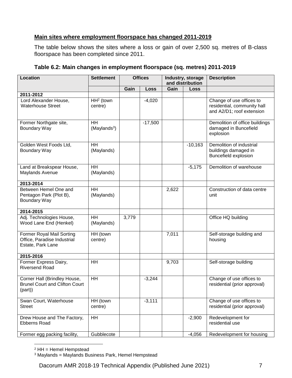## **Main sites where employment floorspace has changed 2011-2019**

The table below shows the sites where a loss or gain of over 2,500 sq. metres of B-class floorspace has been completed since 2011.

| <b>Location</b>                                                                      | <b>Settlement</b>                     |       | <b>Offices</b> | Industry, storage<br>and distribution |             | <b>Description</b>                                                                   |
|--------------------------------------------------------------------------------------|---------------------------------------|-------|----------------|---------------------------------------|-------------|--------------------------------------------------------------------------------------|
|                                                                                      |                                       | Gain  | Loss           | Gain                                  | <b>Loss</b> |                                                                                      |
| 2011-2012                                                                            |                                       |       |                |                                       |             |                                                                                      |
| Lord Alexander House,<br><b>Waterhouse Street</b>                                    | $HH2$ (town<br>centre)                |       | $-4,020$       |                                       |             | Change of use offices to<br>residential, community hall<br>and A2/D1; roof extension |
| Former Northgate site,<br>Boundary Way                                               | <b>HH</b><br>(Maylands <sup>3</sup> ) |       | $-17,500$      |                                       |             | Demolition of office buildings<br>damaged in Buncefield<br>explosion                 |
| Golden West Foods Ltd.<br>Boundary Way                                               | <b>HH</b><br>(Maylands)               |       |                |                                       | $-10,163$   | Demolition of industrial<br>buildings damaged in<br>Buncefield explosion             |
| Land at Breakspear House,<br>Maylands Avenue                                         | <b>HH</b><br>(Maylands)               |       |                |                                       | $-5,175$    | Demolition of warehouse                                                              |
| 2013-2014                                                                            |                                       |       |                |                                       |             |                                                                                      |
| Between Hemel One and<br>Pentagon Park (Plot B),<br>Boundary Way                     | <b>HH</b><br>(Maylands)               |       |                | 2,622                                 |             | Construction of data centre<br>unit                                                  |
| 2014-2015                                                                            |                                       |       |                |                                       |             |                                                                                      |
| Adj. Technologies House,<br>Wood Lane End (Henkel)                                   | <b>HH</b><br>(Maylands)               | 3,779 |                |                                       |             | Office HQ building                                                                   |
| <b>Former Royal Mail Sorting</b><br>Office, Paradise Industrial<br>Estate, Park Lane | HH (town<br>centre)                   |       |                | 7,011                                 |             | Self-storage building and<br>housing                                                 |
| 2015-2016                                                                            |                                       |       |                |                                       |             |                                                                                      |
| Former Express Dairy,<br><b>Riversend Road</b>                                       | HH                                    |       |                | 9,703                                 |             | Self-storage building                                                                |
| Corner Hall (Brindley House,<br><b>Brunel Court and Clifton Court</b><br>(part)      | HH                                    |       | $-3,244$       |                                       |             | Change of use offices to<br>residential (prior approval)                             |
| Swan Court, Waterhouse<br><b>Street</b>                                              | HH (town<br>centre)                   |       | $-3,111$       |                                       |             | Change of use offices to<br>residential (prior approval)                             |
| Drew House and The Factory,<br><b>Ebberns Road</b>                                   | <b>HH</b>                             |       |                |                                       | $-2,900$    | Redevelopment for<br>residential use                                                 |
| Former egg packing facility,                                                         | Gubblecote                            |       |                |                                       | $-4,056$    | Redevelopment for housing                                                            |

## **Table 6.2: Main changes in employment floorspace (sq. metres) 2011-2019**

 $\overline{a}$  $2$  HH = Hemel Hempstead

<sup>3</sup> Maylands = Maylands Business Park, Hemel Hempstead

Dacorum AMR 2018-19 Technical Appendix (Published June 2021) 7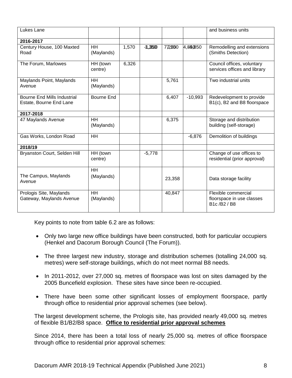| Lukes Lane                                                    |                         |       |            |        |           | and business units                                            |
|---------------------------------------------------------------|-------------------------|-------|------------|--------|-----------|---------------------------------------------------------------|
| 2016-2017                                                     |                         |       |            |        |           |                                                               |
| Century House, 100 Maxted<br>Road                             | HH<br>(Maylands)        | 1,570 | $-11,3500$ | 772860 | 4,850850  | Remodelling and extensions<br>(Smiths Detection)              |
| The Forum, Marlowes                                           | HH (town<br>centre)     | 6,326 |            |        |           | Council offices, voluntary<br>services offices and library    |
| Maylands Point, Maylands<br>Avenue                            | <b>HH</b><br>(Maylands) |       |            | 5,761  |           | Two industrial units                                          |
| <b>Bourne End Mills Industrial</b><br>Estate, Bourne End Lane | <b>Bourne End</b>       |       |            | 6,407  | $-10,993$ | Redevelopment to provide<br>B1(c), B2 and B8 floorspace       |
| 2017-2018                                                     |                         |       |            |        |           |                                                               |
| 47 Maylands Avenue                                            | <b>HH</b><br>(Maylands) |       |            | 6,375  |           | Storage and distribution<br>building (self-storage)           |
| Gas Works, London Road                                        | HH                      |       |            |        | $-6,876$  | Demolition of buildings                                       |
| 2018/19                                                       |                         |       |            |        |           |                                                               |
| Bryanston Court, Selden Hill                                  | HH (town<br>centre)     |       | $-5,778$   |        |           | Change of use offices to<br>residential (prior approval)      |
| The Campus, Maylands<br>Avenue                                | <b>HH</b><br>(Maylands) |       |            | 23,358 |           | Data storage facility                                         |
| Prologis Site, Maylands<br>Gateway, Maylands Avenue           | <b>HH</b><br>(Maylands) |       |            | 40,847 |           | Flexible commercial<br>floorspace in use classes<br>B1c/B2/B8 |

Key points to note from table 6.2 are as follows:

- Only two large new office buildings have been constructed, both for particular occupiers (Henkel and Dacorum Borough Council (The Forum)).
- The three largest new industry, storage and distribution schemes (totalling 24,000 sq. metres) were self-storage buildings, which do not meet normal B8 needs.
- In 2011-2012, over 27,000 sq. metres of floorspace was lost on sites damaged by the 2005 Buncefield explosion. These sites have since been re-occupied.
- There have been some other significant losses of employment floorspace, partly through office to residential prior approval schemes (see below).

The largest development scheme, the Prologis site, has provided nearly 49,000 sq. metres of flexible B1/B2/B8 space. **Office to residential prior approval schemes**

Since 2014, there has been a total loss of nearly 25,000 sq. metres of office floorspace through office to residential prior approval schemes: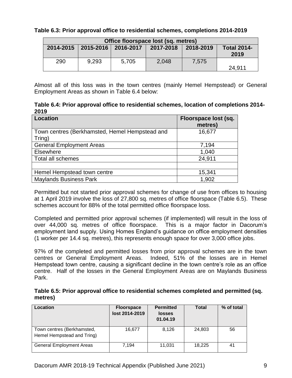#### **Table 6.3: Prior approval office to residential schemes, completions 2014-2019**

| Office floorspace lost (sq. metres) |                       |           |           |           |                            |
|-------------------------------------|-----------------------|-----------|-----------|-----------|----------------------------|
|                                     | 2014-2015   2015-2016 | 2016-2017 | 2017-2018 | 2018-2019 | <b>Total 2014-</b><br>2019 |
| 290                                 | 9,293                 | 5,705     | 2,048     | 7.575     | 24.911                     |

Almost all of this loss was in the town centres (mainly Hemel Hempstead) or General Employment Areas as shown in Table 6.4 below:

**Table 6.4: Prior approval office to residential schemes, location of completions 2014- 2019**

| <b>Location</b>                                          | Floorspace lost (sq.<br>metres) |
|----------------------------------------------------------|---------------------------------|
| Town centres (Berkhamsted, Hemel Hempstead and<br>Tring) | 16,677                          |
| <b>General Employment Areas</b>                          | 7,194                           |
| Elsewhere                                                | 1,040                           |
| <b>Total all schemes</b>                                 | 24,911                          |
|                                                          |                                 |
| Hemel Hempstead town centre                              | 15,341                          |
| <b>Maylands Business Park</b>                            | 1,902                           |

Permitted but not started prior approval schemes for change of use from offices to housing at 1 April 2019 involve the loss of 27,800 sq. metres of office floorspace (Table 6.5). These schemes account for 88% of the total permitted office floorspace loss.

Completed and permitted prior approval schemes (if implemented) will result in the loss of over 44,000 sq. metres of office floorspace. This is a major factor in Dacorum's employment land supply. Using Homes England's guidance on office employment densities (1 worker per 14.4 sq. metres), this represents enough space for over 3,000 office jobs.

97% of the completed and permitted losses from prior approval schemes are in the town centres or General Employment Areas. Indeed, 51% of the losses are in Hemel Hempstead town centre, causing a significant decline in the town centre's role as an office centre. Half of the losses in the General Employment Areas are on Maylands Business Park.

|         | Table 6.5: Prior approval office to residential schemes completed and permitted (sq. |  |  |
|---------|--------------------------------------------------------------------------------------|--|--|
| metres) |                                                                                      |  |  |

| Location                                                 | <b>Floorspace</b><br>lost 2014-2019 | <b>Permitted</b><br><b>losses</b><br>01.04.19 | <b>Total</b> | % of total |
|----------------------------------------------------------|-------------------------------------|-----------------------------------------------|--------------|------------|
| Town centres (Berkhamsted,<br>Hemel Hempstead and Tring) | 16.677                              | 8,126                                         | 24,803       | 56         |
| <b>General Employment Areas</b>                          | 7.194                               | 11.031                                        | 18.225       | 41         |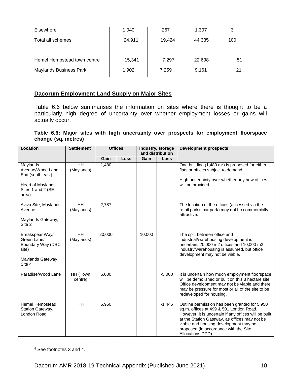| Elsewhere                     | 1,040  | 267    | 1,307  | 3   |
|-------------------------------|--------|--------|--------|-----|
| Total all schemes             | 24,911 | 19,424 | 44,335 | 100 |
|                               |        |        |        |     |
| Hemel Hempstead town centre   | 15,341 | 7,297  | 22,698 | 51  |
| <b>Maylands Business Park</b> | 1,902  | 7,259  | 9,161  | 21  |

#### **Dacorum Employment Land Supply on Major Sites**

Table 6.6 below summarises the information on sites where there is thought to be a particularly high degree of uncertainty over whether employment losses or gains will actually occur.

**Table 6.6: Major sites with high uncertainty over prospects for employment floorspace change (sq. metres)**

| Location                                                                                             | Settlement <sup>4</sup> | <b>Offices</b> |      | Industry, storage<br>and distribution |          | <b>Development prospects</b>                                                                                                                                                                                                                                                                              |
|------------------------------------------------------------------------------------------------------|-------------------------|----------------|------|---------------------------------------|----------|-----------------------------------------------------------------------------------------------------------------------------------------------------------------------------------------------------------------------------------------------------------------------------------------------------------|
|                                                                                                      |                         | Gain           | Loss | Gain                                  | Loss     |                                                                                                                                                                                                                                                                                                           |
| Maylands<br>Avenue/Wood Lane<br>End (south east)<br>Heart of Maylands,<br>Sites 1 and 2 (SE<br>area) | HH<br>(Maylands)        | 1,480          |      |                                       |          | One building (1,480 m <sup>2</sup> ) is proposed for either<br>flats or offices subject to demand.<br>High uncertainty over whether any new offices<br>will be provided.                                                                                                                                  |
| Aviva Site, Maylands<br>Avenue<br>Maylands Gateway,<br>Site 2                                        | HH<br>(Maylands)        | 2,787          |      |                                       |          | The location of the offices (accessed via the<br>retail park's car park) may not be commercially<br>attractive.                                                                                                                                                                                           |
| Breakspear Way/<br>Green Lane/<br>Boundary Way (DBC<br>site)<br>Maylands Gateway<br>Site 4           | HH<br>(Maylands)        | 20,000         |      | 10,000                                |          | The split between office and<br>industrial/warehousing development is<br>uncertain. 20,000 m2 offices and 10,000 m2<br>industry/warehousing is assumed, but office<br>development may not be viable.                                                                                                      |
| Paradise/Wood Lane                                                                                   | HH (Town<br>centre)     | 5,000          |      |                                       | $-5,000$ | It is uncertain how much employment floorspace<br>will be demolished or built on this 3 hectare site.<br>Office development may not be viable and there<br>may be pressure for most or all of the site to be<br>redeveloped for housing.                                                                  |
| Hemel Hempstead<br>Station Gateway,<br>London Road                                                   | HH                      | 5,950          |      |                                       | $-1,445$ | Outline permission has been granted for 5,950<br>sq.m. offices at 499 & 501 London Road.<br>However, it is uncertain if any offices will be built<br>at the Station Gateway, as offices may not be<br>viable and housing development may be<br>proposed (in accordance with the Site<br>Allocations DPD). |

 $\overline{a}$ <sup>4</sup> See footnotes 3 and 4.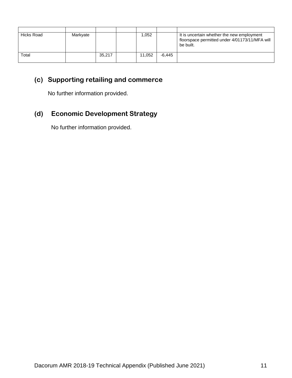| Hicks Road | Markyate |        | 052. ا |        | It is uncertain whether the new employment<br>floorspace permitted under 4/01173/11/MFA will<br>be built. |
|------------|----------|--------|--------|--------|-----------------------------------------------------------------------------------------------------------|
| Total      |          | 35,217 | 11.052 | -6.445 |                                                                                                           |

# **(c) Supporting retailing and commerce**

No further information provided.

# **(d) Economic Development Strategy**

No further information provided.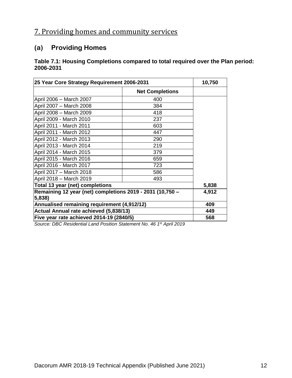# 7. Providing homes and community services

## **(a) Providing Homes**

### **Table 7.1: Housing Completions compared to total required over the Plan period: 2006-2031**

| 25 Year Core Strategy Requirement 2006-2031                         | 10,750                 |  |
|---------------------------------------------------------------------|------------------------|--|
|                                                                     | <b>Net Completions</b> |  |
| April 2006 - March 2007                                             | 400                    |  |
| April 2007 - March 2008                                             | 384                    |  |
| April 2008 - March 2009                                             | 418                    |  |
| April 2009 - March 2010                                             | 237                    |  |
| April 2011 - March 2011                                             | 603                    |  |
| April 2011 - March 2012                                             | 447                    |  |
| April 2012 - March 2013                                             | 290                    |  |
| April 2013 - March 2014                                             | 219                    |  |
| April 2014 - March 2015                                             | 379                    |  |
| April 2015 - March 2016                                             | 659                    |  |
| April 2016 - March 2017                                             | 723                    |  |
| April 2017 - March 2018                                             | 586                    |  |
| April 2018 - March 2019                                             | 493                    |  |
| Total 13 year (net) completions                                     | 5,838                  |  |
| Remaining 12 year (net) completions 2019 - 2031 (10,750 -<br>5,838) | 4,912                  |  |
| Annualised remaining requirement (4,912/12)                         | 409                    |  |
| Actual Annual rate achieved (5,838/13)                              | 449                    |  |
| Five year rate achieved 2014-19 (2840/5)                            | 568                    |  |

*Source: DBC Residential Land Position Statement No. 46 1 st April 2019*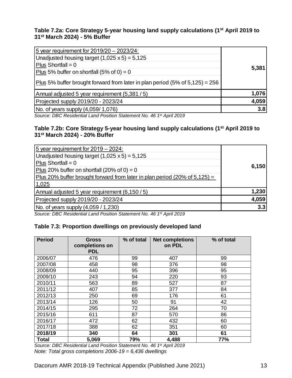### **Table 7.2a: Core Strategy 5-year housing land supply calculations (1st April 2019 to 31st March 2024) - 5% Buffer**

| 5 year requirement for 2019/20 - 2023/24:                                                |       |
|------------------------------------------------------------------------------------------|-------|
| Unadjusted housing target $(1,025 \times 5) = 5,125$                                     |       |
| Plus Shortfall = $0$                                                                     |       |
| Plus 5% buffer on shortfall $(5\% \text{ of } 0) = 0$                                    | 5,381 |
| Plus 5% buffer brought forward from later in plan period $(5\% \text{ of } 5,125) = 256$ |       |
| Annual adjusted 5 year requirement (5,381 / 5)                                           | 1,076 |
| Projected supply 2019/20 - 2023/24                                                       | 4,059 |
| No. of years supply (4,059/1,076)                                                        | 3.8   |
|                                                                                          |       |

*Source: DBC Residential Land Position Statement No. 46 1 st April 2019*

### **Table 7.2b: Core Strategy 5-year housing land supply calculations (1st April 2019 to 31st March 2024) - 20% Buffer**

| 5 year requirement for $2019 - 2024$ :<br>Unadjusted housing target $(1,025 \times 5) = 5,125$<br>Plus Shortfall = $0$<br>Plus 20% buffer on shortfall (20% of 0) = 0<br>Plus 20% buffer brought forward from later in plan period (20% of $5,125$ ) = | 6,150 |
|--------------------------------------------------------------------------------------------------------------------------------------------------------------------------------------------------------------------------------------------------------|-------|
| 1,025<br>Annual adjusted 5 year requirement (6,150 / 5)                                                                                                                                                                                                | 1,230 |
| Projected supply 2019/20 - 2023/24                                                                                                                                                                                                                     | 4,059 |
| $\sqrt{(4.059/1.230)}$                                                                                                                                                                                                                                 | 3.3   |

*Source: DBC Residential Land Position Statement No. 46 1 st April 2019*

## **Table 7.3: Proportion dwellings on previously developed land**

| <b>Period</b> | <b>Gross</b><br>completions on<br><b>PDL</b> | % of total | <b>Net completions</b><br>on PDL | % of total |
|---------------|----------------------------------------------|------------|----------------------------------|------------|
| 2006/07       | 476                                          | 99         | 407                              | 99         |
| 2007/08       | 458                                          | 98         | 376                              | 98         |
| 2008/09       | 440                                          | 95         | 396                              | 95         |
| 2009/10       | 243                                          | 94         | 220                              | 93         |
| 2010/11       | 563                                          | 89         | 527                              | 87         |
| 2011/12       | 407                                          | 85         | 377                              | 84         |
| 2012/13       | 250                                          | 69         | 176                              | 61         |
| 2013/14       | 126                                          | 50         | 91                               | 42         |
| 2014/15       | 295                                          | 72         | 264                              | 70         |
| 2015/16       | 611                                          | 87         | 570                              | 86         |
| 2016/17       | 472                                          | 62         | 432                              | 60         |
| 2017/18       | 388                                          | 62         | 351                              | 60         |
| 2018/19       | 340                                          | 64         | 301                              | 61         |
| <b>Total</b>  | 5,069                                        | 79%        | 4,488                            | <b>77%</b> |

*Source: DBC Residential Land Position Statement No. 46 1 st April 2019 Note: Total gross completions 2006-19 = 6,436 dwellings*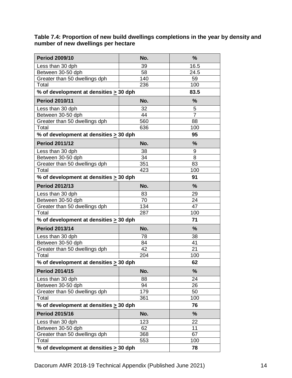#### **Table 7.4: Proportion of new build dwellings completions in the year by density and number of new dwellings per hectare**

| <b>Period 2009/10</b>                       | No. | %              |
|---------------------------------------------|-----|----------------|
| Less than 30 dph                            | 39  | 16.5           |
| Between 30-50 dph                           | 58  | 24.5           |
| Greater than 50 dwellings dph               | 140 | 59             |
| Total                                       | 236 | 100            |
| % of development at densities $\geq 30$ dph |     | 83.5           |
| <b>Period 2010/11</b>                       | No. | %              |
| Less than 30 dph                            | 32  | 5              |
| Between 30-50 dph                           | 44  | $\overline{7}$ |
| Greater than 50 dwellings dph               | 560 | 88             |
| Total                                       | 636 | 100            |
| % of development at densities $\geq$ 30 dph |     | 95             |
| <b>Period 2011/12</b>                       | No. | %              |
| Less than 30 dph                            | 38  | 9              |
| Between 30-50 dph                           | 34  | 8              |
| Greater than 50 dwellings dph               | 351 | 83             |
| Total                                       | 423 | 100            |
| % of development at densities > 30 dph      |     | 91             |
| <b>Period 2012/13</b>                       | No. | %              |
| Less than 30 dph                            | 83  | 29             |
| Between 30-50 dph                           | 70  | 24             |
| Greater than 50 dwellings dph               | 134 | 47             |
| Total                                       | 287 | 100            |
| % of development at densities $\geq$ 30 dph |     | 71             |
| <b>Period 2013/14</b>                       | No. | %              |
| Less than 30 dph                            | 78  | 38             |
| Between 30-50 dph                           | 84  | 41             |
| Greater than 50 dwellings dph               | 42  | 21             |
| Total                                       | 204 | 100            |
| % of development at densities > 30 dph      |     | 62             |
| <b>Period 2014/15</b>                       | No. | %              |
| Less than 30 dph                            | 88  | 24             |
| Between 30-50 dph                           | 94  | 26             |
| Greater than 50 dwellings dph               | 179 | 50             |
| Total                                       | 361 | 100            |
| % of development at densities > 30 dph      |     | 76             |
| <b>Period 2015/16</b>                       | No. | %              |
| Less than 30 dph                            | 123 | 22             |
| Between 30-50 dph                           | 62  | 11             |
| Greater than 50 dwellings dph               | 368 | 67             |
| Total                                       | 553 | 100            |
| % of development at densities > 30 dph      | 78  |                |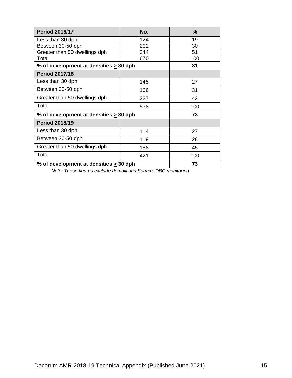| <b>Period 2016/17</b>                       | No. | $\%$ |
|---------------------------------------------|-----|------|
| Less than 30 dph                            | 124 | 19   |
| Between 30-50 dph                           | 202 | 30   |
| Greater than 50 dwellings dph               | 344 | 51   |
| Total                                       | 670 | 100  |
| % of development at densities > 30 dph      |     | 81   |
| <b>Period 2017/18</b>                       |     |      |
| Less than 30 dph                            | 145 | 27   |
| Between 30-50 dph                           | 166 | 31   |
| Greater than 50 dwellings dph               | 227 | 42   |
| Total                                       | 538 | 100  |
| % of development at densities $\geq$ 30 dph |     | 73   |
| <b>Period 2018/19</b>                       |     |      |
| Less than 30 dph                            | 114 | 27   |
| Between 30-50 dph                           | 119 | 28   |
| Greater than 50 dwellings dph               | 188 | 45   |
| Total                                       | 421 | 100  |
| % of development at densities $\geq 30$ dph | 73  |      |

*Note: These figures exclude demolitions Source: DBC monitoring*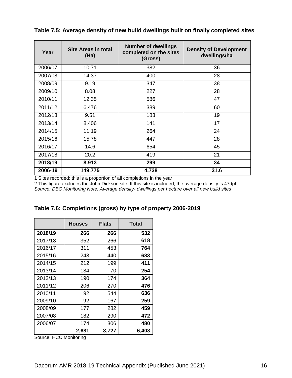| Year    | <b>Site Areas in total</b><br>(Ha) | <b>Number of dwellings</b><br>completed on the sites<br>(Gross) | <b>Density of Development</b><br>dwellings/ha |
|---------|------------------------------------|-----------------------------------------------------------------|-----------------------------------------------|
| 2006/07 | 10.71                              | 382                                                             | 36                                            |
| 2007/08 | 14.37                              | 400                                                             | 28                                            |
| 2008/09 | 9.19                               | 347                                                             | 38                                            |
| 2009/10 | 8.08                               | 227                                                             | 28                                            |
| 2010/11 | 12.35                              | 586                                                             | 47                                            |
| 2011/12 | 6.476                              | 389                                                             | 60                                            |
| 2012/13 | 9.51                               | 183                                                             | 19                                            |
| 2013/14 | 8.406                              | 141                                                             | 17                                            |
| 2014/15 | 11.19                              | 264                                                             | 24                                            |
| 2015/16 | 15.78                              | 447                                                             | 28                                            |
| 2016/17 | 14.6                               | 654                                                             | 45                                            |
| 2017/18 | 20.2                               | 419                                                             | 21                                            |
| 2018/19 | 8.913                              | 299                                                             | 34                                            |
| 2006-19 | 149.775                            | 4,738                                                           | 31.6                                          |

**Table 7.5: Average density of new build dwellings built on finally completed sites**

1 Sites recorded: this is a proportion of all completions in the year

2 This figure excludes the John Dickson site. If this site is included, the average density is 47dph *Source: DBC Monitoring Note: Average density- dwellings per hectare over all new build sites*

|         | <b>Houses</b> | <b>Flats</b> | <b>Total</b> |
|---------|---------------|--------------|--------------|
| 2018/19 | 266           | 266          | 532          |
| 2017/18 | 352           | 266          | 618          |
| 2016/17 | 311           | 453          | 764          |
| 2015/16 | 243           | 440          | 683          |
| 2014/15 | 212           | 199          | 411          |
| 2013/14 | 184           | 70           | 254          |
| 2012/13 | 190           | 174          | 364          |
| 2011/12 | 206           | 270          | 476          |
| 2010/11 | 92            | 544          | 636          |
| 2009/10 | 92            | 167          | 259          |
| 2008/09 | 177           | 282          | 459          |
| 2007/08 | 182           | 290          | 472          |
| 2006/07 | 174           | 306          | 480          |
|         | 2,681         | 3,727        | 6,408        |

**Table 7.6: Completions (gross) by type of property 2006-2019**

Source: HCC Monitoring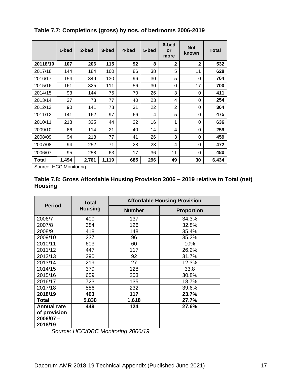|          | 1-bed | 2-bed | 3-bed | 4-bed | 5-bed | 6-bed<br>or<br>more | <b>Not</b><br>known | <b>Total</b> |
|----------|-------|-------|-------|-------|-------|---------------------|---------------------|--------------|
| 20118/19 | 107   | 206   | 115   | 92    | 8     | $\mathbf{2}$        | $\mathbf{2}$        | 532          |
| 2017/18  | 144   | 184   | 160   | 86    | 38    | 5                   | 11                  | 628          |
| 2016/17  | 154   | 349   | 130   | 96    | 30    | 5                   | 0                   | 764          |
| 2015/16  | 161   | 325   | 111   | 56    | 30    | 0                   | 17                  | 700          |
| 2014/15  | 93    | 144   | 75    | 70    | 26    | 3                   | 0                   | 411          |
| 2013/14  | 37    | 73    | 77    | 40    | 23    | 4                   | 0                   | 254          |
| 2012/13  | 90    | 141   | 78    | 31    | 22    | $\overline{2}$      | 0                   | 364          |
| 2011/12  | 141   | 162   | 97    | 66    | 4     | 5                   | 0                   | 475          |
| 2010/11  | 218   | 335   | 44    | 22    | 16    | 1                   | 0                   | 636          |
| 2009/10  | 66    | 114   | 21    | 40    | 14    | 4                   | 0                   | 259          |
| 2008/09  | 94    | 218   | 77    | 41    | 26    | 3                   | 0                   | 459          |
| 2007/08  | 94    | 252   | 71    | 28    | 23    | 4                   | 0                   | 472          |
| 2006/07  | 95    | 258   | 63    | 17    | 36    | 11                  | 0                   | 480          |
| Total    | 1.494 | 2,761 | 1,119 | 685   | 296   | 49                  | 30                  | 6,434        |

**Table 7.7: Completions (gross) by nos. of bedrooms 2006-2019**

Source: HCC Monitoring

| Table 7.8: Gross Affordable Housing Provision 2006 – 2019 relative to Total (net) |  |  |
|-----------------------------------------------------------------------------------|--|--|
| <b>Housing</b>                                                                    |  |  |

| <b>Period</b>      | <b>Total</b>   | <b>Affordable Housing Provision</b> |                   |  |  |
|--------------------|----------------|-------------------------------------|-------------------|--|--|
|                    | <b>Housing</b> | <b>Number</b>                       | <b>Proportion</b> |  |  |
| 2006/7             | 400            | 137                                 | 34.3%             |  |  |
| 2007/8             | 384            | 126                                 | 32.8%             |  |  |
| 2008/9             | 418            | 148                                 | 35.4%             |  |  |
| 2009/10            | 237            | 96                                  | 35.2%             |  |  |
| 2010/11            | 603            | 60                                  | 10%               |  |  |
| 2011/12            | 447            | 117                                 | 26.2%             |  |  |
| 2012/13            | 290            | 92                                  | 31.7%             |  |  |
| 2013/14            | 219            | 27                                  | 12.3%             |  |  |
| 2014/15            | 379            | 128                                 | 33.8              |  |  |
| 2015/16            | 659            | 203                                 | 30.8%             |  |  |
| 2016/17            | 723            | 135                                 | 18.7%             |  |  |
| 2017/18            | 586            | 232                                 | 39.6%             |  |  |
| 2018/19            | 493            | 117                                 | 23.7%             |  |  |
| Total              | 5,838          | 1,618                               | 27.7%             |  |  |
| <b>Annual rate</b> | 449            | 124                                 | 27.6%             |  |  |
| of provision       |                |                                     |                   |  |  |
| $2006/07 -$        |                |                                     |                   |  |  |
| 2018/19            |                |                                     |                   |  |  |

*Source: HCC/DBC Monitoring 2006/19*